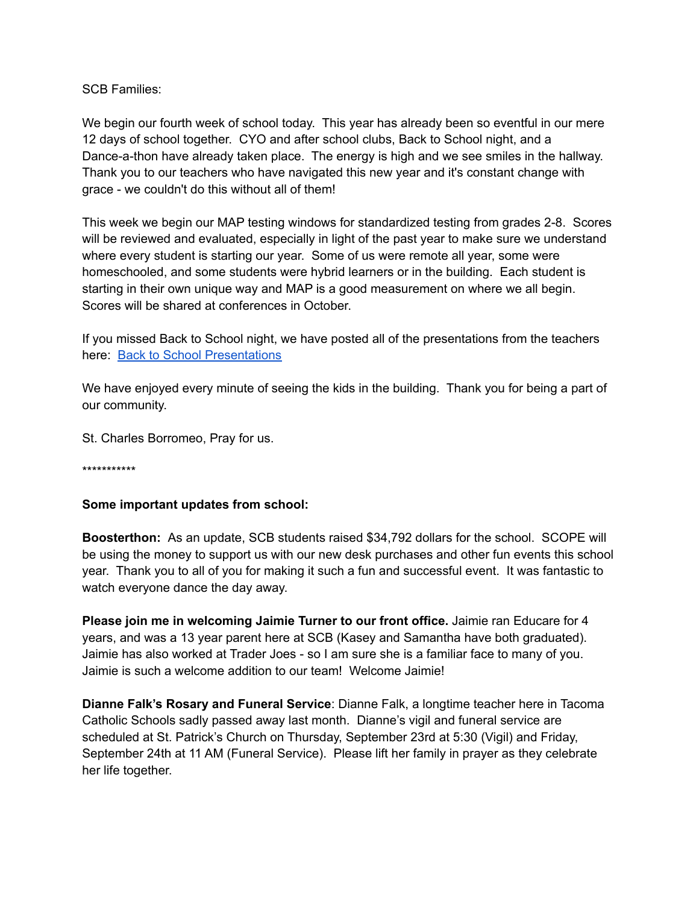SCB Families:

We begin our fourth week of school today. This year has already been so eventful in our mere 12 days of school together. CYO and after school clubs, Back to School night, and a Dance-a-thon have already taken place. The energy is high and we see smiles in the hallway. Thank you to our teachers who have navigated this new year and it's constant change with grace - we couldn't do this without all of them!

This week we begin our MAP testing windows for standardized testing from grades 2-8. Scores will be reviewed and evaluated, especially in light of the past year to make sure we understand where every student is starting our year. Some of us were remote all year, some were homeschooled, and some students were hybrid learners or in the building. Each student is starting in their own unique way and MAP is a good measurement on where we all begin. Scores will be shared at conferences in October.

If you missed Back to School night, we have posted all of the presentations from the teachers here: Back to School [Presentations](https://www.stcharlesb.org/back-to-school-night)

We have enjoyed every minute of seeing the kids in the building. Thank you for being a part of our community.

St. Charles Borromeo, Pray for us.

\*\*\*\*\*\*\*\*\*\*\*

## **Some important updates from school:**

**Boosterthon:** As an update, SCB students raised \$34,792 dollars for the school. SCOPE will be using the money to support us with our new desk purchases and other fun events this school year. Thank you to all of you for making it such a fun and successful event. It was fantastic to watch everyone dance the day away.

**Please join me in welcoming Jaimie Turner to our front office.** Jaimie ran Educare for 4 years, and was a 13 year parent here at SCB (Kasey and Samantha have both graduated). Jaimie has also worked at Trader Joes - so I am sure she is a familiar face to many of you. Jaimie is such a welcome addition to our team! Welcome Jaimie!

**Dianne Falk's Rosary and Funeral Service**: Dianne Falk, a longtime teacher here in Tacoma Catholic Schools sadly passed away last month. Dianne's vigil and funeral service are scheduled at St. Patrick's Church on Thursday, September 23rd at 5:30 (Vigil) and Friday, September 24th at 11 AM (Funeral Service). Please lift her family in prayer as they celebrate her life together.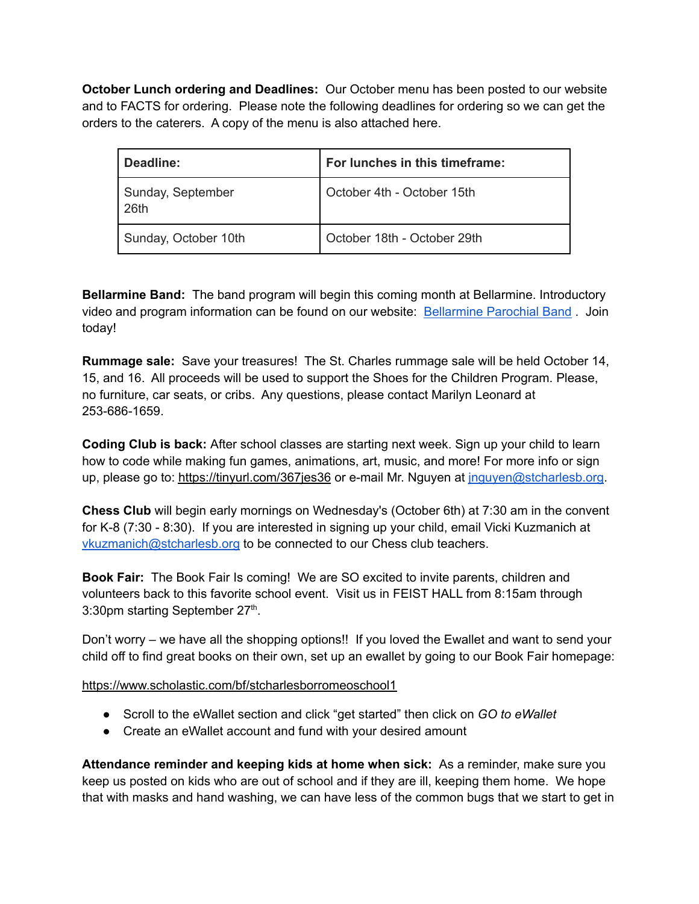**October Lunch ordering and Deadlines:** Our October menu has been posted to our website and to FACTS for ordering. Please note the following deadlines for ordering so we can get the orders to the caterers. A copy of the menu is also attached here.

| Deadline:                 | For lunches in this timeframe: |
|---------------------------|--------------------------------|
| Sunday, September<br>26th | October 4th - October 15th     |
| Sunday, October 10th      | October 18th - October 29th    |

**Bellarmine Band:** The band program will begin this coming month at Bellarmine. Introductory video and program information can be found on our website: [Bellarmine](https://www.stcharlesb.org/band) Parochial Band . Join today!

**Rummage sale:** Save your treasures! The St. Charles rummage sale will be held October 14, 15, and 16. All proceeds will be used to support the Shoes for the Children Program. Please, no furniture, car seats, or cribs. Any questions, please contact Marilyn Leonard at 253-686-1659.

**Coding Club is back:** After school classes are starting next week. Sign up your child to learn how to code while making fun games, animations, art, music, and more! For more info or sign up, please go to: <https://tinyurl.com/367jes36> or e-mail Mr. Nguyen at [jnguyen@stcharlesb.org](mailto:jnguyen@stcharlesb.org).

**Chess Club** will begin early mornings on Wednesday's (October 6th) at 7:30 am in the convent for K-8 (7:30 - 8:30). If you are interested in signing up your child, email Vicki Kuzmanich at [vkuzmanich@stcharlesb.org](mailto:vkuzmanich@stcharlesb.org) to be connected to our Chess club teachers.

**Book Fair:** The Book Fair Is coming! We are SO excited to invite parents, children and volunteers back to this favorite school event. Visit us in FEIST HALL from 8:15am through 3:30pm starting September 27<sup>th</sup>.

Don't worry – we have all the shopping options!! If you loved the Ewallet and want to send your child off to find great books on their own, set up an ewallet by going to our Book Fair homepage:

<https://www.scholastic.com/bf/stcharlesborromeoschool1>

- Scroll to the eWallet section and click "get started" then click on *GO to eWallet*
- Create an eWallet account and fund with your desired amount

**Attendance reminder and keeping kids at home when sick:** As a reminder, make sure you keep us posted on kids who are out of school and if they are ill, keeping them home. We hope that with masks and hand washing, we can have less of the common bugs that we start to get in